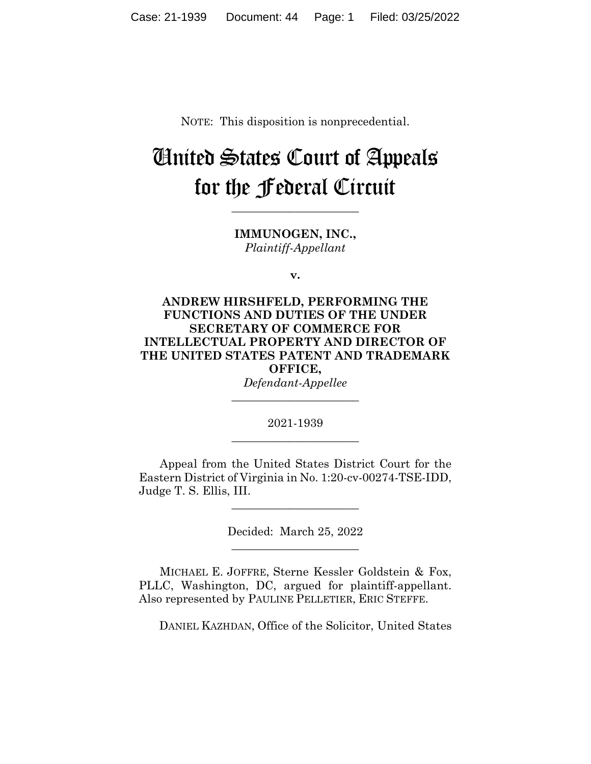NOTE: This disposition is nonprecedential.

# United States Court of Appeals for the Federal Circuit

**\_\_\_\_\_\_\_\_\_\_\_\_\_\_\_\_\_\_\_\_\_\_**

**IMMUNOGEN, INC.,** *Plaintiff-Appellant*

**v.**

**ANDREW HIRSHFELD, PERFORMING THE FUNCTIONS AND DUTIES OF THE UNDER SECRETARY OF COMMERCE FOR INTELLECTUAL PROPERTY AND DIRECTOR OF THE UNITED STATES PATENT AND TRADEMARK OFFICE,**

*Defendant-Appellee* **\_\_\_\_\_\_\_\_\_\_\_\_\_\_\_\_\_\_\_\_\_\_**

2021-1939 **\_\_\_\_\_\_\_\_\_\_\_\_\_\_\_\_\_\_\_\_\_\_**

Appeal from the United States District Court for the Eastern District of Virginia in No. 1:20-cv-00274-TSE-IDD, Judge T. S. Ellis, III.

> Decided: March 25, 2022  $\overline{\phantom{a}}$  , where  $\overline{\phantom{a}}$  , where  $\overline{\phantom{a}}$  , where  $\overline{\phantom{a}}$

 $\overline{\phantom{a}}$  , where  $\overline{\phantom{a}}$  , where  $\overline{\phantom{a}}$  , where  $\overline{\phantom{a}}$ 

MICHAEL E. JOFFRE, Sterne Kessler Goldstein & Fox, PLLC, Washington, DC, argued for plaintiff-appellant. Also represented by PAULINE PELLETIER, ERIC STEFFE.

DANIEL KAZHDAN, Office of the Solicitor, United States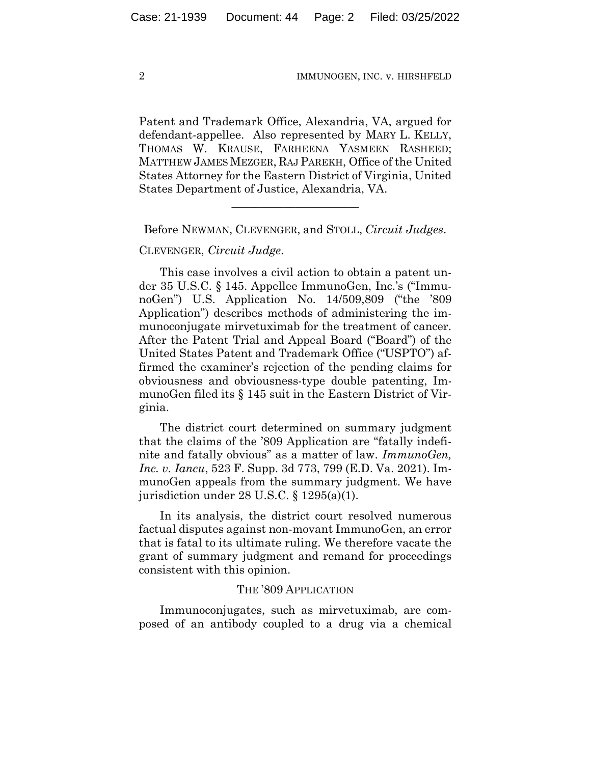Patent and Trademark Office, Alexandria, VA, argued for defendant-appellee. Also represented by MARY L. KELLY, THOMAS W. KRAUSE, FARHEENA YASMEEN RASHEED; MATTHEW JAMES MEZGER, RAJ PAREKH, Office of the United States Attorney for the Eastern District of Virginia, United States Department of Justice, Alexandria, VA.

Before NEWMAN, CLEVENGER, and STOLL, *Circuit Judges*.

\_\_\_\_\_\_\_\_\_\_\_\_\_\_\_\_\_\_\_\_\_\_

CLEVENGER, *Circuit Judge*.

This case involves a civil action to obtain a patent under 35 U.S.C. § 145. Appellee ImmunoGen, Inc.'s ("ImmunoGen") U.S. Application No. 14/509,809 ("the '809 Application") describes methods of administering the immunoconjugate mirvetuximab for the treatment of cancer. After the Patent Trial and Appeal Board ("Board") of the United States Patent and Trademark Office ("USPTO") affirmed the examiner's rejection of the pending claims for obviousness and obviousness-type double patenting, ImmunoGen filed its § 145 suit in the Eastern District of Virginia.

The district court determined on summary judgment that the claims of the '809 Application are "fatally indefinite and fatally obvious" as a matter of law. *ImmunoGen, Inc. v. Iancu*, 523 F. Supp. 3d 773, 799 (E.D. Va. 2021). ImmunoGen appeals from the summary judgment. We have jurisdiction under 28 U.S.C. § 1295(a)(1).

In its analysis, the district court resolved numerous factual disputes against non-movant ImmunoGen, an error that is fatal to its ultimate ruling. We therefore vacate the grant of summary judgment and remand for proceedings consistent with this opinion.

#### THE '809 APPLICATION

Immunoconjugates, such as mirvetuximab, are composed of an antibody coupled to a drug via a chemical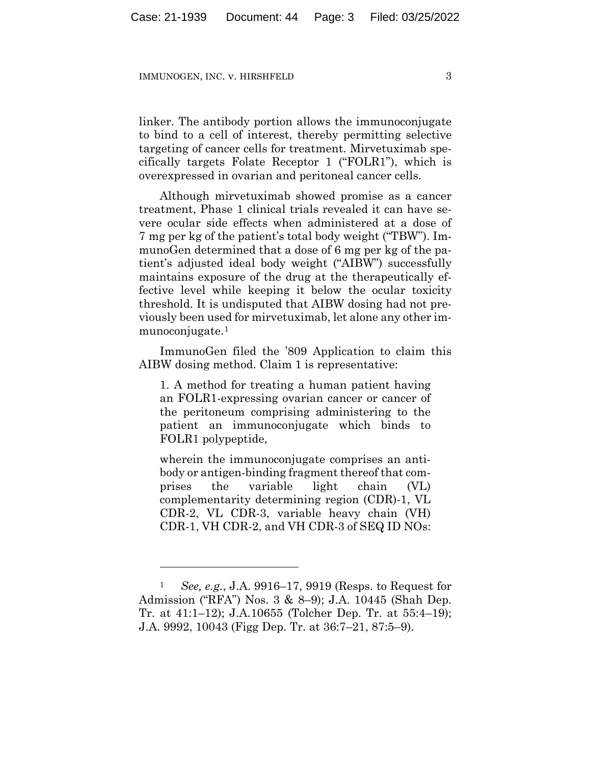linker. The antibody portion allows the immunoconjugate to bind to a cell of interest, thereby permitting selective targeting of cancer cells for treatment. Mirvetuximab specifically targets Folate Receptor 1 ("FOLR1"), which is overexpressed in ovarian and peritoneal cancer cells.

Although mirvetuximab showed promise as a cancer treatment, Phase 1 clinical trials revealed it can have severe ocular side effects when administered at a dose of 7 mg per kg of the patient's total body weight ("TBW"). ImmunoGen determined that a dose of 6 mg per kg of the patient's adjusted ideal body weight ("AIBW") successfully maintains exposure of the drug at the therapeutically effective level while keeping it below the ocular toxicity threshold. It is undisputed that AIBW dosing had not previously been used for mirvetuximab, let alone any other immunoconjugate.1

ImmunoGen filed the '809 Application to claim this AIBW dosing method. Claim 1 is representative:

1. A method for treating a human patient having an FOLR1-expressing ovarian cancer or cancer of the peritoneum comprising administering to the patient an immunoconjugate which binds to FOLR1 polypeptide,

wherein the immunoconjugate comprises an antibody or antigen-binding fragment thereof that comprises the variable light chain (VL) complementarity determining region (CDR)-1, VL CDR-2, VL CDR-3, variable heavy chain (VH) CDR-1, VH CDR-2, and VH CDR-3 of SEQ ID NOs:

<sup>1</sup> *See, e.g.*, J.A. 9916–17, 9919 (Resps. to Request for Admission ("RFA") Nos. 3 & 8–9); J.A. 10445 (Shah Dep. Tr. at 41:1–12); J.A.10655 (Tolcher Dep. Tr. at 55:4–19); J.A. 9992, 10043 (Figg Dep. Tr. at 36:7–21, 87:5–9).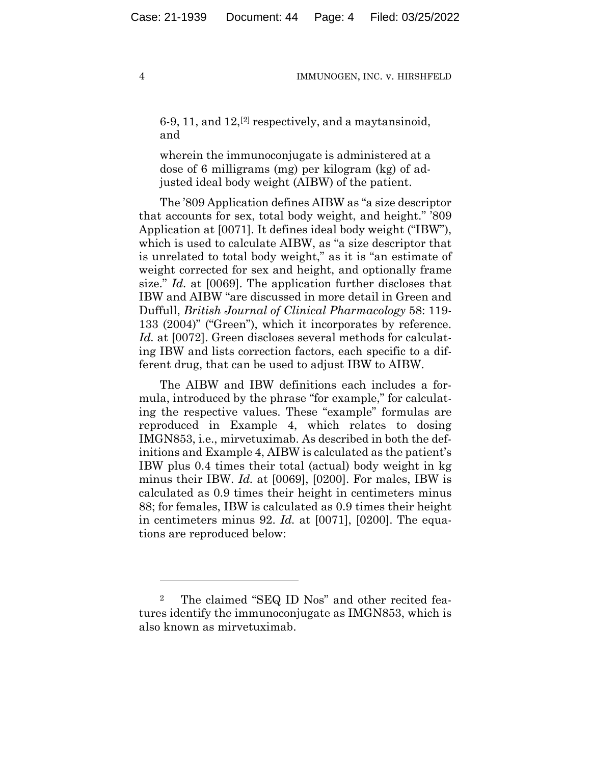6-9, 11, and  $12$ , <sup>[2]</sup> respectively, and a may tansinoid, and

wherein the immunoconjugate is administered at a dose of 6 milligrams (mg) per kilogram (kg) of adjusted ideal body weight (AIBW) of the patient.

The '809 Application defines AIBW as "a size descriptor that accounts for sex, total body weight, and height." '809 Application at [0071]. It defines ideal body weight ("IBW"), which is used to calculate AIBW, as "a size descriptor that is unrelated to total body weight," as it is "an estimate of weight corrected for sex and height, and optionally frame size." *Id.* at [0069]. The application further discloses that IBW and AIBW "are discussed in more detail in Green and Duffull, *British Journal of Clinical Pharmacology* 58: 119- 133 (2004)" ("Green"), which it incorporates by reference. Id. at [0072]. Green discloses several methods for calculating IBW and lists correction factors, each specific to a different drug, that can be used to adjust IBW to AIBW.

The AIBW and IBW definitions each includes a formula, introduced by the phrase "for example," for calculating the respective values. These "example" formulas are reproduced in Example 4, which relates to dosing IMGN853, i.e., mirvetuximab. As described in both the definitions and Example 4, AIBW is calculated as the patient's IBW plus 0.4 times their total (actual) body weight in kg minus their IBW. *Id.* at [0069], [0200]. For males, IBW is calculated as 0.9 times their height in centimeters minus 88; for females, IBW is calculated as 0.9 times their height in centimeters minus 92. *Id.* at [0071], [0200]. The equations are reproduced below:

<sup>2</sup> The claimed "SEQ ID Nos" and other recited features identify the immunoconjugate as IMGN853, which is also known as mirvetuximab.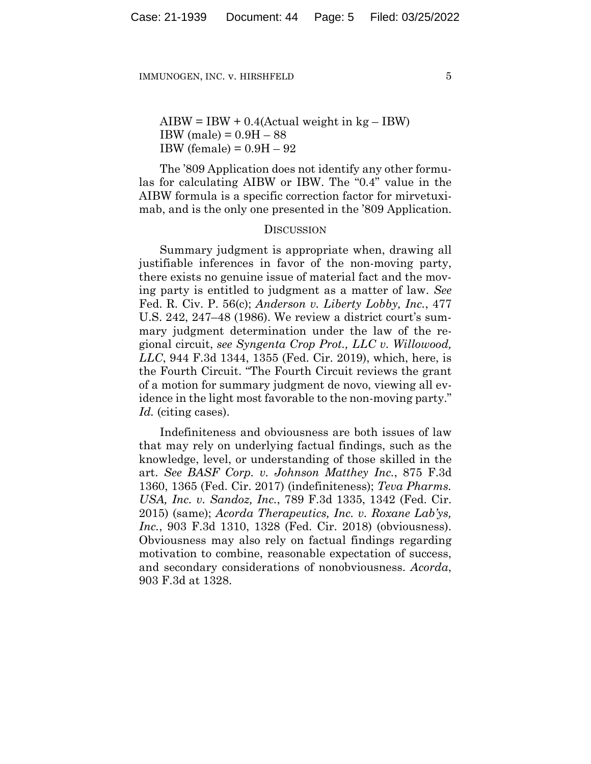$AIBW = IBW + 0.4(Actual weight in kg - IBW)$ IBW (male) = 0.9H – 88 IBW (female) =  $0.9H - 92$ 

The '809 Application does not identify any other formulas for calculating AIBW or IBW. The "0.4" value in the AIBW formula is a specific correction factor for mirvetuximab, and is the only one presented in the '809 Application.

### **DISCUSSION**

Summary judgment is appropriate when, drawing all justifiable inferences in favor of the non-moving party, there exists no genuine issue of material fact and the moving party is entitled to judgment as a matter of law. *See* Fed. R. Civ. P. 56(c); *Anderson v. Liberty Lobby, Inc.*, 477 U.S. 242, 247–48 (1986). We review a district court's summary judgment determination under the law of the regional circuit, *see Syngenta Crop Prot., LLC v. Willowood, LLC*, 944 F.3d 1344, 1355 (Fed. Cir. 2019), which, here, is the Fourth Circuit. "The Fourth Circuit reviews the grant of a motion for summary judgment de novo, viewing all evidence in the light most favorable to the non-moving party." *Id.* (citing cases).

Indefiniteness and obviousness are both issues of law that may rely on underlying factual findings, such as the knowledge, level, or understanding of those skilled in the art. *See BASF Corp. v. Johnson Matthey Inc.*, 875 F.3d 1360, 1365 (Fed. Cir. 2017) (indefiniteness); *Teva Pharms. USA, Inc. v. Sandoz, Inc.*, 789 F.3d 1335, 1342 (Fed. Cir. 2015) (same); *Acorda Therapeutics, Inc. v. Roxane Lab'ys, Inc.*, 903 F.3d 1310, 1328 (Fed. Cir. 2018) (obviousness). Obviousness may also rely on factual findings regarding motivation to combine, reasonable expectation of success, and secondary considerations of nonobviousness. *Acorda*, 903 F.3d at 1328.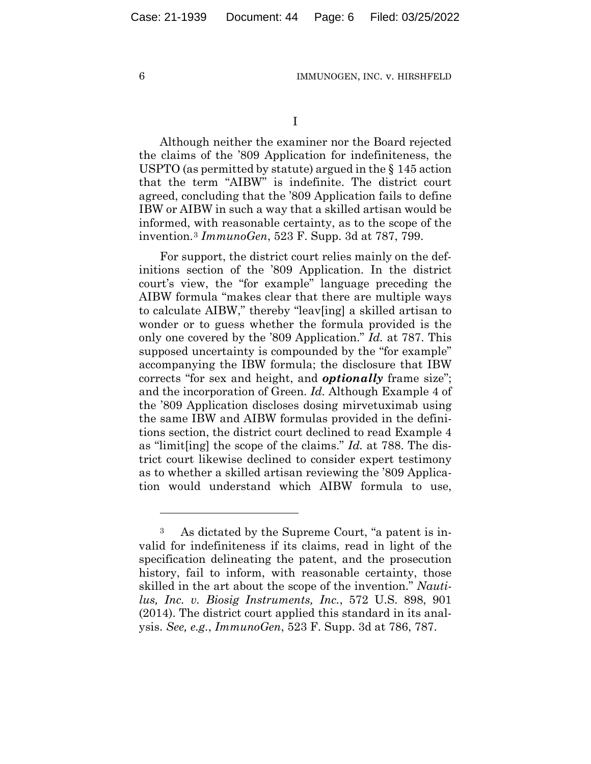I

Although neither the examiner nor the Board rejected the claims of the '809 Application for indefiniteness, the USPTO (as permitted by statute) argued in the § 145 action that the term "AIBW" is indefinite. The district court agreed, concluding that the '809 Application fails to define IBW or AIBW in such a way that a skilled artisan would be informed, with reasonable certainty, as to the scope of the invention.3 *ImmunoGen*, 523 F. Supp. 3d at 787, 799.

For support, the district court relies mainly on the definitions section of the '809 Application. In the district court's view, the "for example" language preceding the AIBW formula "makes clear that there are multiple ways to calculate AIBW," thereby "leav[ing] a skilled artisan to wonder or to guess whether the formula provided is the only one covered by the '809 Application." *Id.* at 787. This supposed uncertainty is compounded by the "for example" accompanying the IBW formula; the disclosure that IBW corrects "for sex and height, and *optionally* frame size"; and the incorporation of Green. *Id.* Although Example 4 of the '809 Application discloses dosing mirvetuximab using the same IBW and AIBW formulas provided in the definitions section, the district court declined to read Example 4 as "limit[ing] the scope of the claims." *Id.* at 788. The district court likewise declined to consider expert testimony as to whether a skilled artisan reviewing the '809 Application would understand which AIBW formula to use,

<sup>3</sup> As dictated by the Supreme Court, "a patent is invalid for indefiniteness if its claims, read in light of the specification delineating the patent, and the prosecution history, fail to inform, with reasonable certainty, those skilled in the art about the scope of the invention." *Nautilus, Inc. v. Biosig Instruments, Inc.*, 572 U.S. 898, 901 (2014). The district court applied this standard in its analysis. *See, e.g.*, *ImmunoGen*, 523 F. Supp. 3d at 786, 787.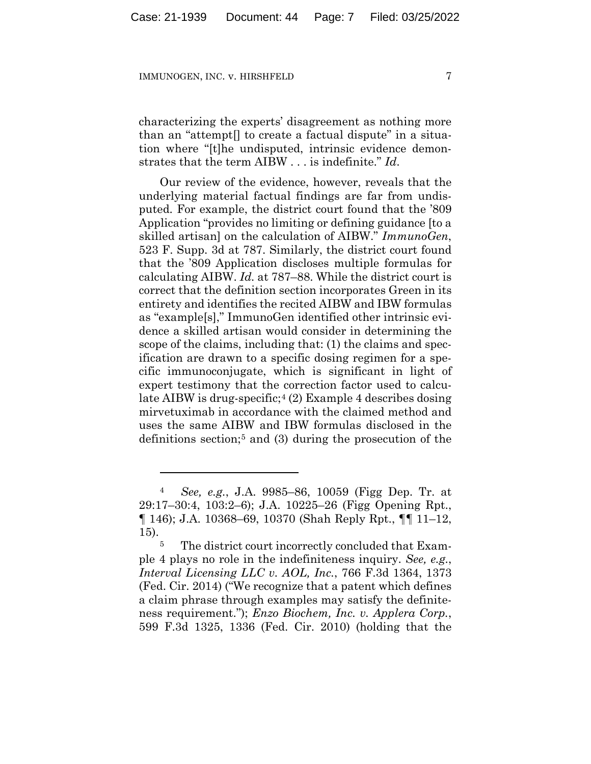characterizing the experts' disagreement as nothing more than an "attempt[] to create a factual dispute" in a situation where "[t]he undisputed, intrinsic evidence demonstrates that the term AIBW . . . is indefinite." *Id*.

Our review of the evidence, however, reveals that the underlying material factual findings are far from undisputed. For example, the district court found that the '809 Application "provides no limiting or defining guidance [to a skilled artisan] on the calculation of AIBW." *ImmunoGen*, 523 F. Supp. 3d at 787. Similarly, the district court found that the '809 Application discloses multiple formulas for calculating AIBW. *Id.* at 787–88. While the district court is correct that the definition section incorporates Green in its entirety and identifies the recited AIBW and IBW formulas as "example[s]," ImmunoGen identified other intrinsic evidence a skilled artisan would consider in determining the scope of the claims, including that: (1) the claims and specification are drawn to a specific dosing regimen for a specific immunoconjugate, which is significant in light of expert testimony that the correction factor used to calculate AIBW is drug-specific;4 (2) Example 4 describes dosing mirvetuximab in accordance with the claimed method and uses the same AIBW and IBW formulas disclosed in the definitions section;5 and (3) during the prosecution of the

<sup>4</sup> *See, e.g.*, J.A. 9985–86, 10059 (Figg Dep. Tr. at 29:17–30:4, 103:2–6); J.A. 10225–26 (Figg Opening Rpt., ¶ 146); J.A. 10368–69, 10370 (Shah Reply Rpt., ¶¶ 11–12, 15).

<sup>&</sup>lt;sup>5</sup> The district court incorrectly concluded that Example 4 plays no role in the indefiniteness inquiry. *See, e.g.*, *Interval Licensing LLC v. AOL, Inc.*, 766 F.3d 1364, 1373 (Fed. Cir. 2014) ("We recognize that a patent which defines a claim phrase through examples may satisfy the definiteness requirement."); *Enzo Biochem, Inc. v. Applera Corp.*, 599 F.3d 1325, 1336 (Fed. Cir. 2010) (holding that the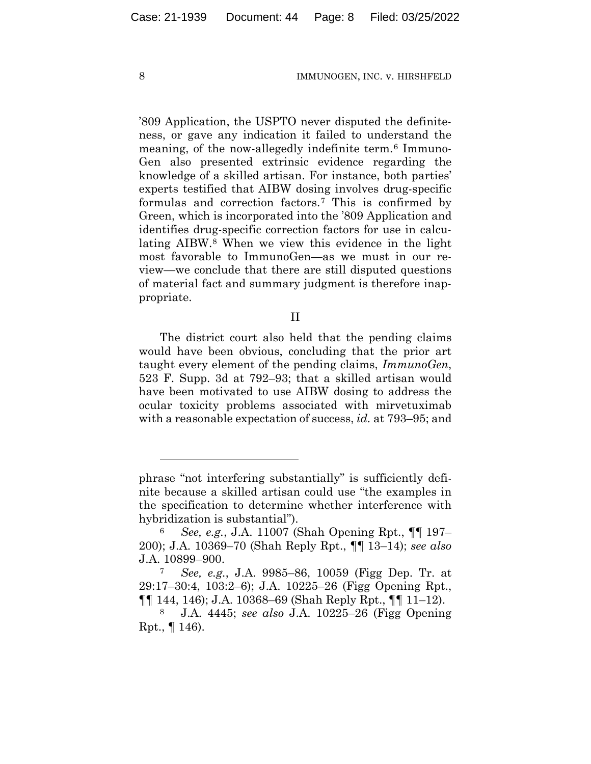'809 Application, the USPTO never disputed the definiteness, or gave any indication it failed to understand the meaning, of the now-allegedly indefinite term.6 Immuno-Gen also presented extrinsic evidence regarding the knowledge of a skilled artisan. For instance, both parties' experts testified that AIBW dosing involves drug-specific formulas and correction factors.7 This is confirmed by Green, which is incorporated into the '809 Application and identifies drug-specific correction factors for use in calculating AIBW.8 When we view this evidence in the light most favorable to ImmunoGen—as we must in our review—we conclude that there are still disputed questions of material fact and summary judgment is therefore inappropriate.

II

The district court also held that the pending claims would have been obvious, concluding that the prior art taught every element of the pending claims, *ImmunoGen*, 523 F. Supp. 3d at 792–93; that a skilled artisan would have been motivated to use AIBW dosing to address the ocular toxicity problems associated with mirvetuximab with a reasonable expectation of success, *id.* at 793–95; and

phrase "not interfering substantially" is sufficiently definite because a skilled artisan could use "the examples in the specification to determine whether interference with hybridization is substantial").

<sup>6</sup> *See, e.g.*, J.A. 11007 (Shah Opening Rpt., ¶¶ 197– 200); J.A. 10369–70 (Shah Reply Rpt., ¶¶ 13–14); *see also*  J.A. 10899–900.

<sup>7</sup> *See, e.g.*, J.A. 9985–86, 10059 (Figg Dep. Tr. at 29:17–30:4, 103:2–6); J.A. 10225–26 (Figg Opening Rpt., ¶¶ 144, 146); J.A. 10368–69 (Shah Reply Rpt., ¶¶ 11–12).

<sup>8</sup> J.A. 4445; *see also* J.A. 10225–26 (Figg Opening Rpt., ¶ 146).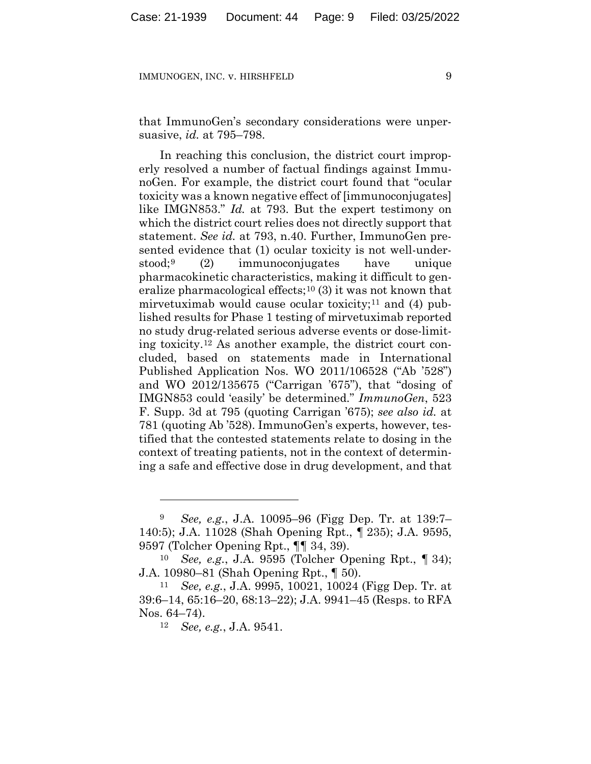that ImmunoGen's secondary considerations were unpersuasive, *id.* at 795–798.

In reaching this conclusion, the district court improperly resolved a number of factual findings against ImmunoGen. For example, the district court found that "ocular toxicity was a known negative effect of [immunoconjugates] like IMGN853." *Id.* at 793. But the expert testimony on which the district court relies does not directly support that statement. *See id.* at 793, n.40. Further, ImmunoGen presented evidence that (1) ocular toxicity is not well-understood;9 (2) immunoconjugates have unique pharmacokinetic characteristics, making it difficult to generalize pharmacological effects;<sup>10</sup> $(3)$  it was not known that mirvetuximab would cause ocular toxicity;<sup>11</sup> and  $(4)$  published results for Phase 1 testing of mirvetuximab reported no study drug-related serious adverse events or dose-limiting toxicity.12 As another example, the district court concluded, based on statements made in International Published Application Nos. WO 2011/106528 ("Ab '528") and WO 2012/135675 ("Carrigan '675"), that "dosing of IMGN853 could 'easily' be determined." *ImmunoGen*, 523 F. Supp. 3d at 795 (quoting Carrigan '675); *see also id.* at 781 (quoting Ab '528). ImmunoGen's experts, however, testified that the contested statements relate to dosing in the context of treating patients, not in the context of determining a safe and effective dose in drug development, and that

<sup>9</sup> *See, e.g.*, J.A. 10095–96 (Figg Dep. Tr. at 139:7– 140:5); J.A. 11028 (Shah Opening Rpt., ¶ 235); J.A. 9595, 9597 (Tolcher Opening Rpt., ¶¶ 34, 39).

<sup>10</sup> *See, e.g.*, J.A. 9595 (Tolcher Opening Rpt., ¶ 34); J.A. 10980–81 (Shah Opening Rpt., ¶ 50).

<sup>11</sup> *See, e.g.*, J.A. 9995, 10021, 10024 (Figg Dep. Tr. at 39:6–14, 65:16–20, 68:13–22); J.A. 9941–45 (Resps. to RFA Nos. 64–74).

<sup>12</sup> *See, e.g.*, J.A. 9541.